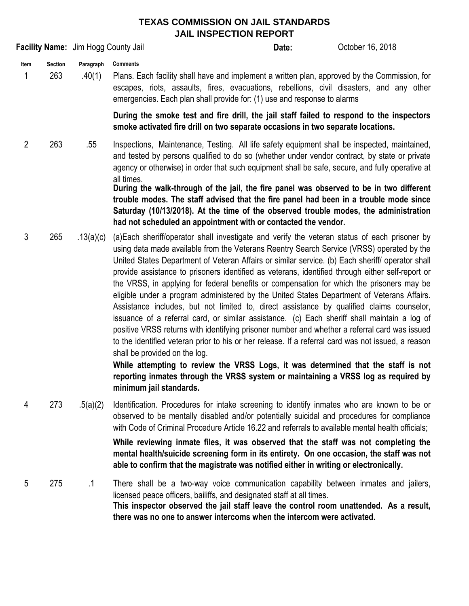## **TEXAS COMMISSION ON JAIL STANDARDS JAIL INSPECTION REPORT**

**Facility Name:** Jim Hogg County Jail **Company County Jail Company County Date:** October 16, 2018

**Date:**

**Item Section Paragraph Comments**

1 263 .40(1) Plans. Each facility shall have and implement a written plan, approved by the Commission, for escapes, riots, assaults, fires, evacuations, rebellions, civil disasters, and any other emergencies. Each plan shall provide for: (1) use and response to alarms

> **During the smoke test and fire drill, the jail staff failed to respond to the inspectors smoke activated fire drill on two separate occasions in two separate locations.**

2 263 .55 Inspections, Maintenance, Testing. All life safety equipment shall be inspected, maintained, and tested by persons qualified to do so (whether under vendor contract, by state or private agency or otherwise) in order that such equipment shall be safe, secure, and fully operative at all times.

**During the walk-through of the jail, the fire panel was observed to be in two different trouble modes. The staff advised that the fire panel had been in a trouble mode since Saturday (10/13/2018). At the time of the observed trouble modes, the administration had not scheduled an appointment with or contacted the vendor.**

3 265 .13(a)(c) (a)Each sheriff/operator shall investigate and verify the veteran status of each prisoner by using data made available from the Veterans Reentry Search Service (VRSS) operated by the United States Department of Veteran Affairs or similar service. (b) Each sheriff/ operator shall provide assistance to prisoners identified as veterans, identified through either self-report or the VRSS, in applying for federal benefits or compensation for which the prisoners may be eligible under a program administered by the United States Department of Veterans Affairs. Assistance includes, but not limited to, direct assistance by qualified claims counselor, issuance of a referral card, or similar assistance. (c) Each sheriff shall maintain a log of positive VRSS returns with identifying prisoner number and whether a referral card was issued to the identified veteran prior to his or her release. If a referral card was not issued, a reason shall be provided on the log.

> **While attempting to review the VRSS Logs, it was determined that the staff is not reporting inmates through the VRSS system or maintaining a VRSS log as required by minimum jail standards.**

4 273 .5(a)(2) Identification. Procedures for intake screening to identify inmates who are known to be or observed to be mentally disabled and/or potentially suicidal and procedures for compliance with Code of Criminal Procedure Article 16.22 and referrals to available mental health officials;

**While reviewing inmate files, it was observed that the staff was not completing the mental health/suicide screening form in its entirety. On one occasion, the staff was not able to confirm that the magistrate was notified either in writing or electronically.**

5 275 .1 There shall be a two-way voice communication capability between inmates and jailers, licensed peace officers, bailiffs, and designated staff at all times. **This inspector observed the jail staff leave the control room unattended. As a result, there was no one to answer intercoms when the intercom were activated.**